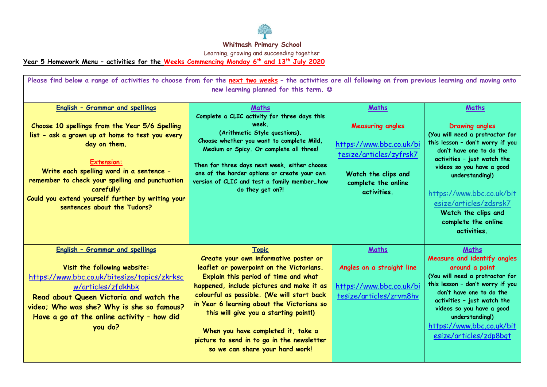

**Year 5 Homework Menu – activities for the Weeks Commencing Monday 6 th and 13th July 2020** 

| Please find below a range of activities to choose from for the next two weeks - the activities are all following on from previous learning and moving onto<br>new learning planned for this term. ©                                                                                                                                                                               |                                                                                                                                                                                                                                                                                                                                                                                                                                                    |                                                                                                                                                      |                                                                                                                                                                                                                                                                                                                                      |
|-----------------------------------------------------------------------------------------------------------------------------------------------------------------------------------------------------------------------------------------------------------------------------------------------------------------------------------------------------------------------------------|----------------------------------------------------------------------------------------------------------------------------------------------------------------------------------------------------------------------------------------------------------------------------------------------------------------------------------------------------------------------------------------------------------------------------------------------------|------------------------------------------------------------------------------------------------------------------------------------------------------|--------------------------------------------------------------------------------------------------------------------------------------------------------------------------------------------------------------------------------------------------------------------------------------------------------------------------------------|
| <b>English - Grammar and spellings</b><br>Choose 10 spellings from the Year 5/6 Spelling<br>list - ask a grown up at home to test you every<br>day on them.<br><b>Extension:</b><br>Write each spelling word in a sentence -<br>remember to check your spelling and punctuation<br>carefully!<br>Could you extend yourself further by writing your<br>sentences about the Tudors? | Maths<br>Complete a CLIC activity for three days this<br>week.<br>(Arithmetic Style questions).<br>Choose whether you want to complete Mild,<br>Medium or Spicy. Or complete all three!<br>Then for three days next week, either choose<br>one of the harder options or create your own<br>version of CLIC and test a family memberhow<br>do they get on?!                                                                                         | Maths<br><b>Measuring angles</b><br>https://www.bbc.co.uk/bi<br>tesize/articles/zyfrsk7<br>Watch the clips and<br>complete the online<br>activities. | Maths<br><b>Drawing angles</b><br>(You will need a protractor for<br>this lesson - don't worry if you<br>don't have one to do the<br>activities - just watch the<br>videos so you have a good<br>understanding!)<br>https://www.bbc.co.uk/bit<br>esize/articles/zdsrsk7<br>Watch the clips and<br>complete the online<br>activities. |
| <b>English - Grammar and spellings</b><br>Visit the following website:<br>https://www.bbc.co.uk/bitesize/topics/zkrksc<br>w/articles/zfdkhbk<br>Read about Queen Victoria and watch the<br>video; Who was she? Why is she so famous?<br>Have a go at the online activity - how did<br>you do?                                                                                     | <b>Topic</b><br>Create your own informative poster or<br>leaflet or powerpoint on the Victorians.<br>Explain this period of time and what<br>happened, include pictures and make it as<br>colourful as possible. (We will start back<br>in Year 6 learning about the Victorians so<br>this will give you a starting point!)<br>When you have completed it, take a<br>picture to send in to go in the newsletter<br>so we can share your hard work! | Maths<br>Angles on a straight line<br>https://www.bbc.co.uk/bi<br>tesize/articles/zrvm8hv                                                            | Maths<br>Measure and identify angles<br>around a point<br>(You will need a protractor for<br>this lesson - don't worry if you<br>don't have one to do the<br>activities - just watch the<br>videos so you have a good<br>understanding!)<br>https://www.bbc.co.uk/bit<br>esize/articles/zdp8bqt                                      |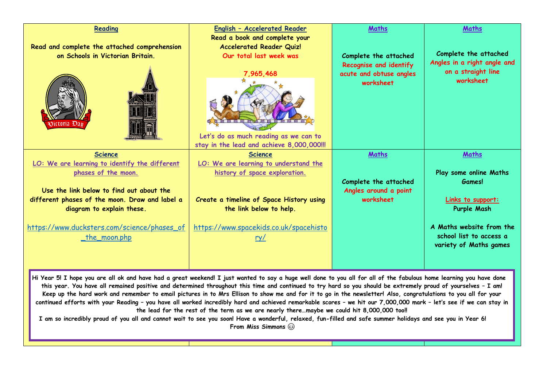| Reading                                                                                                                                                                                                                                                                                                                                                                                                                                                                                                                                                                                                                                                                                                                                                                                                                                                                                                                                                           | English - Accelerated Reader                                                                                                                                                                                                                                                  | Maths                                                                                            | Maths                                                                                                                       |
|-------------------------------------------------------------------------------------------------------------------------------------------------------------------------------------------------------------------------------------------------------------------------------------------------------------------------------------------------------------------------------------------------------------------------------------------------------------------------------------------------------------------------------------------------------------------------------------------------------------------------------------------------------------------------------------------------------------------------------------------------------------------------------------------------------------------------------------------------------------------------------------------------------------------------------------------------------------------|-------------------------------------------------------------------------------------------------------------------------------------------------------------------------------------------------------------------------------------------------------------------------------|--------------------------------------------------------------------------------------------------|-----------------------------------------------------------------------------------------------------------------------------|
| Read and complete the attached comprehension<br>on Schools in Victorian Britain.<br><b>Science</b><br>LO: We are learning to identify the different<br>phases of the moon.                                                                                                                                                                                                                                                                                                                                                                                                                                                                                                                                                                                                                                                                                                                                                                                        | Read a book and complete your<br><b>Accelerated Reader Quiz!</b><br>Our total last week was<br>Let's do as much reading as we can to<br>stay in the lead and achieve 8,000,000!!!<br><b>Science</b><br>LO: We are learning to understand the<br>history of space exploration. | Complete the attached<br>Recognise and identify<br>acute and obtuse angles<br>worksheet<br>Maths | Complete the attached<br>Angles in a right angle and<br>on a straight line<br>worksheet<br>Maths<br>Play some online Maths  |
| Use the link below to find out about the<br>different phases of the moon. Draw and label a<br>diagram to explain these.<br>https://www.ducksters.com/science/phases of<br><u>_the_moon.php</u>                                                                                                                                                                                                                                                                                                                                                                                                                                                                                                                                                                                                                                                                                                                                                                    | Create a timeline of Space History using<br>the link below to help.<br>https://www.spacekids.co.uk/spacehisto<br><u>ry/</u>                                                                                                                                                   | Complete the attached<br>Angles around a point<br>worksheet                                      | Games!<br>Links to support:<br>Purple Mash<br>A Maths website from the<br>school list to access a<br>variety of Maths games |
| Hi Year 5! I hope you are all ok and have had a great weekend! I just wanted to say a huge well done to you all for all of the fabulous home learning you have done<br>this year. You have all remained positive and determined throughout this time and continued to try hard so you should be extremely proud of yourselves - I am!<br>Keep up the hard work and remember to email pictures in to Mrs Ellison to show me and for it to go in the newsletter! Also, congratulations to you all for your<br>continued efforts with your Reading - you have all worked incredibly hard and achieved remarkable scores - we hit our 7,000,000 mark - let's see if we can stay in<br>the lead for the rest of the term as we are nearly theremaybe we could hit 8,000,000 too!!<br>I am so incredibly proud of you all and cannot wait to see you soon! Have a wonderful, relaxed, fun-filled and safe summer holidays and see you in Year 6!<br>From Miss Simmons @ |                                                                                                                                                                                                                                                                               |                                                                                                  |                                                                                                                             |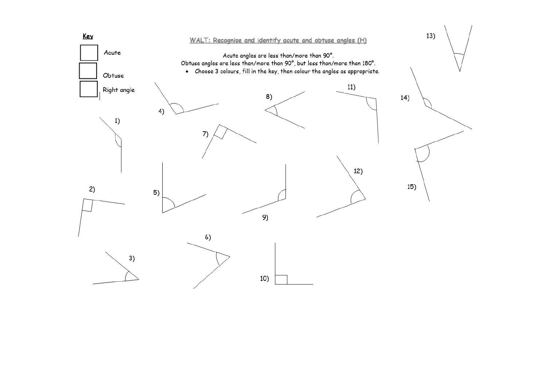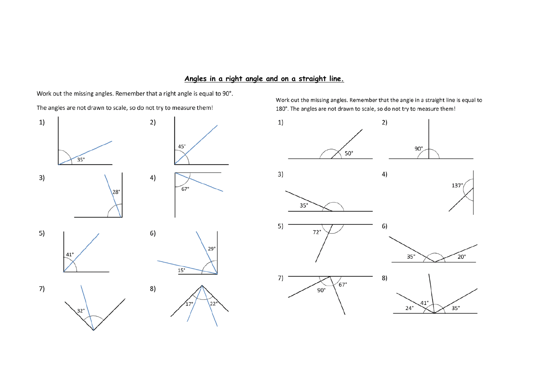### Angles in a right angle and on a straight line.

Work out the missing angles. Remember that a right angle is equal to 90°.

The angles are not drawn to scale, so do not try to measure them!

 $1)$  $2)$  $45^\circ$  $\overline{35}$ °  $3)$  $4)$  $67^\circ$ 28° 5)  $6)$  $29^\circ$  $41^{\circ}$  $15^\circ$ 7) 8)  $22$  $32^\circ$ 

Work out the missing angles. Remember that the angle in a straight line is equal to 180°. The angles are not drawn to scale, so do not try to measure them!

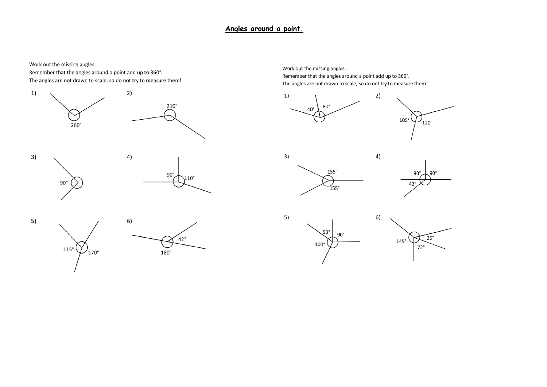#### Angles around a point.

Work out the missing angles.

Remember that the angles around a point add up to 360°. The angles are not drawn to scale, so do not try to measure them!





5)  $115^\circ$  $\prime$ <sub>170°</sub>



Work out the missing angles. Remember that the angles around a point add up to 360°. The angles are not drawn to scale, so do not try to measure them!



4)

6)







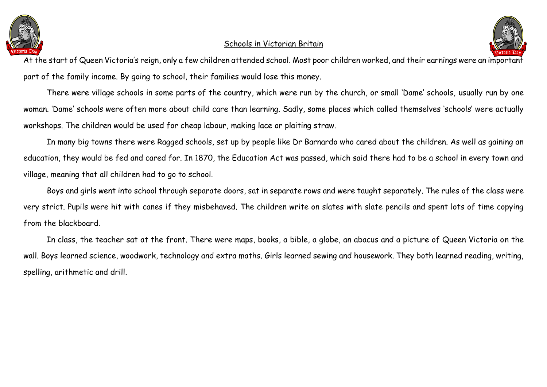

### Schools in Victorian Britain



At the start of Queen Victoria's reign, only a few children attended school. Most poor children worked, and their earnings were an important part of the family income. By going to school, their families would lose this money.

There were village schools in some parts of the country, which were run by the church, or small 'Dame' schools, usually run by one woman. 'Dame' schools were often more about child care than learning. Sadly, some places which called themselves 'schools' were actually workshops. The children would be used for cheap labour, making lace or plaiting straw.

In many big towns there were Ragged schools, set up by people like Dr Barnardo who cared about the children. As well as gaining an education, they would be fed and cared for. In 1870, the Education Act was passed, which said there had to be a school in every town and village, meaning that all children had to go to school.

Boys and girls went into school through separate doors, sat in separate rows and were taught separately. The rules of the class were very strict. Pupils were hit with canes if they misbehaved. The children write on slates with slate pencils and spent lots of time copying from the blackboard.

In class, the teacher sat at the front. There were maps, books, a bible, a globe, an abacus and a picture of Queen Victoria on the wall. Boys learned science, woodwork, technology and extra maths. Girls learned sewing and housework. They both learned reading, writing, spelling, arithmetic and drill.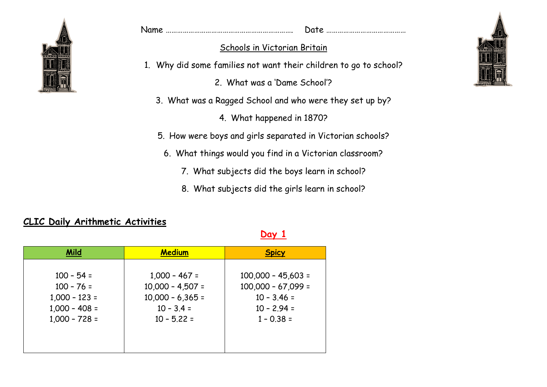

| Name |  |
|------|--|
|      |  |

## Schools in Victorian Britain

1. Why did some families not want their children to go to school?

2. What was a 'Dame School'?

- 3. What was a Ragged School and who were they set up by?
	- 4. What happened in 1870?
- 5. How were boys and girls separated in Victorian schools?
	- 6. What things would you find in a Victorian classroom?
		- 7. What subjects did the boys learn in school?
		- 8. What subjects did the girls learn in school?

**Day 1**

| <b>Mild</b>                                                                           | <b>Medium</b>                                                                                | <b>Spicy</b>                                                                                   |
|---------------------------------------------------------------------------------------|----------------------------------------------------------------------------------------------|------------------------------------------------------------------------------------------------|
| $100 - 54 =$<br>$100 - 76 =$<br>$1,000 - 123 =$<br>$1,000 - 408 =$<br>$1,000 - 728 =$ | $1,000 - 467 =$<br>$10,000 - 4,507 =$<br>$10,000 - 6,365 =$<br>$10 - 3.4 =$<br>$10 - 5.22 =$ | $100,000 - 45,603 =$<br>$100,000 - 67,099 =$<br>$10 - 3.46 =$<br>$10 - 2.94 =$<br>$1 - 0.38 =$ |
|                                                                                       |                                                                                              |                                                                                                |

## **CLIC Daily Arithmetic Activities**